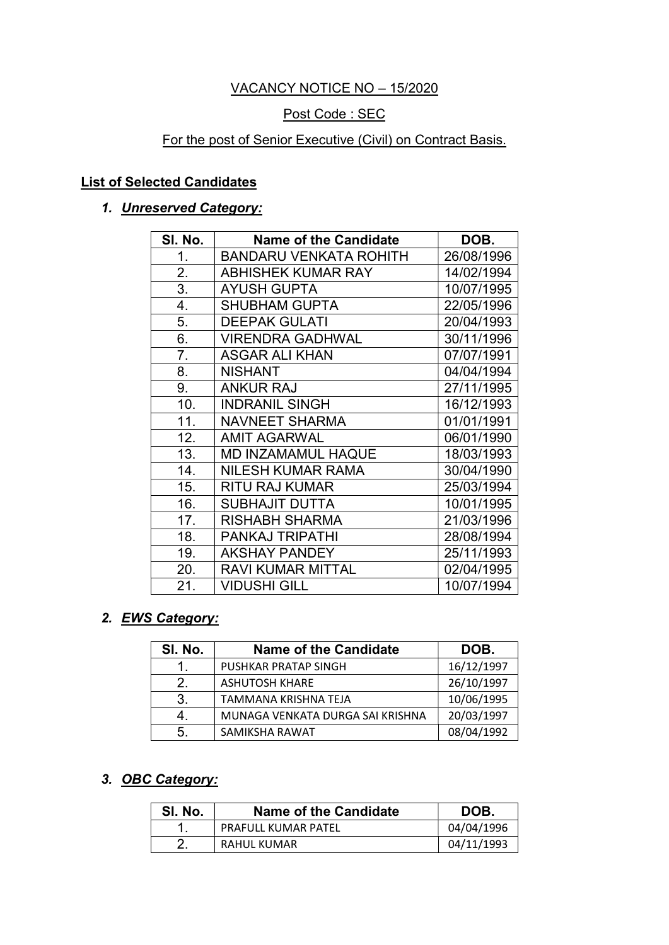### VACANCY NOTICE NO – 15/2020

### Post Code : SEC

### For the post of Senior Executive (Civil) on Contract Basis.

### List of Selected Candidates

### 1. **Unreserved Category:**

| SI. No. | <b>Name of the Candidate</b> | DOB.       |
|---------|------------------------------|------------|
| 1.      | BANDARU VENKATA ROHITH       | 26/08/1996 |
| 2.      | <b>ABHISHEK KUMAR RAY</b>    | 14/02/1994 |
| 3.      | <b>AYUSH GUPTA</b>           | 10/07/1995 |
| 4.      | <b>SHUBHAM GUPTA</b>         | 22/05/1996 |
| 5.      | <b>DEEPAK GULATI</b>         | 20/04/1993 |
| 6.      | <b>VIRENDRA GADHWAL</b>      | 30/11/1996 |
| 7.      | <b>ASGAR ALI KHAN</b>        | 07/07/1991 |
| 8.      | <b>NISHANT</b>               | 04/04/1994 |
| 9.      | <b>ANKUR RAJ</b>             | 27/11/1995 |
| 10.     | <b>INDRANIL SINGH</b>        | 16/12/1993 |
| 11.     | <b>NAVNEET SHARMA</b>        | 01/01/1991 |
| 12.     | <b>AMIT AGARWAL</b>          | 06/01/1990 |
| 13.     | <b>MD INZAMAMUL HAQUE</b>    | 18/03/1993 |
| 14.     | <b>NILESH KUMAR RAMA</b>     | 30/04/1990 |
| 15.     | <b>RITU RAJ KUMAR</b>        | 25/03/1994 |
| 16.     | <b>SUBHAJIT DUTTA</b>        | 10/01/1995 |
| 17.     | <b>RISHABH SHARMA</b>        | 21/03/1996 |
| 18.     | <b>PANKAJ TRIPATHI</b>       | 28/08/1994 |
| 19.     | <b>AKSHAY PANDEY</b>         | 25/11/1993 |
| 20.     | <b>RAVI KUMAR MITTAL</b>     | 02/04/1995 |
| 21.     | <b>VIDUSHI GILL</b>          | 10/07/1994 |

### 2. EWS Category:

| SI. No. | <b>Name of the Candidate</b>     | DOB.       |
|---------|----------------------------------|------------|
|         | PUSHKAR PRATAP SINGH             | 16/12/1997 |
| 2.      | <b>ASHUTOSH KHARE</b>            | 26/10/1997 |
| 3.      | TAMMANA KRISHNA TEJA             | 10/06/1995 |
|         | MUNAGA VENKATA DURGA SAI KRISHNA | 20/03/1997 |
| 5.      | SAMIKSHA RAWAT                   | 08/04/1992 |

#### 3. OBC Category:

| SI. No. | Name of the Candidate      | DOB.       |
|---------|----------------------------|------------|
|         | <b>PRAFULL KUMAR PATEL</b> | 04/04/1996 |
|         | RAHUL KUMAR                | 04/11/1993 |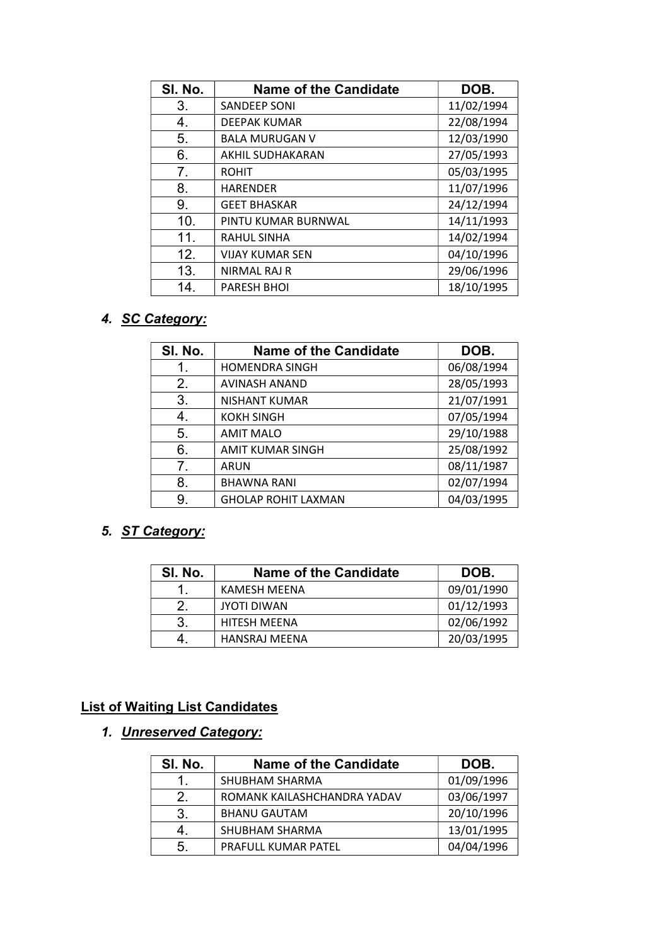| SI. No.        | <b>Name of the Candidate</b> | DOB.       |
|----------------|------------------------------|------------|
| 3.             | <b>SANDEEP SONI</b>          | 11/02/1994 |
| 4.             | <b>DEEPAK KUMAR</b>          | 22/08/1994 |
| 5.             | <b>BALA MURUGAN V</b>        | 12/03/1990 |
| 6.             | AKHIL SUDHAKARAN             | 27/05/1993 |
| 7 <sub>1</sub> | <b>ROHIT</b>                 | 05/03/1995 |
| 8.             | <b>HARENDER</b>              | 11/07/1996 |
| 9.             | <b>GEET BHASKAR</b>          | 24/12/1994 |
| 10.            | PINTU KUMAR BURNWAL          | 14/11/1993 |
| 11.            | <b>RAHUL SINHA</b>           | 14/02/1994 |
| 12.            | <b>VIJAY KUMAR SEN</b>       | 04/10/1996 |
| 13.            | NIRMAL RAJ R                 | 29/06/1996 |
| 14.            | <b>PARESH BHOI</b>           | 18/10/1995 |

# 4. SC Category:

| SI. No. | <b>Name of the Candidate</b> | DOB.       |
|---------|------------------------------|------------|
| 1.      | <b>HOMENDRA SINGH</b>        | 06/08/1994 |
| 2.      | <b>AVINASH ANAND</b>         | 28/05/1993 |
| 3.      | <b>NISHANT KUMAR</b>         | 21/07/1991 |
| 4.      | <b>KOKH SINGH</b>            | 07/05/1994 |
| 5.      | <b>AMIT MALO</b>             | 29/10/1988 |
| 6.      | <b>AMIT KUMAR SINGH</b>      | 25/08/1992 |
| 7.      | <b>ARUN</b>                  | 08/11/1987 |
| 8.      | <b>BHAWNA RANI</b>           | 02/07/1994 |
| 9.      | <b>GHOLAP ROHIT LAXMAN</b>   | 04/03/1995 |

### 5. ST Category:

| SI. No. | <b>Name of the Candidate</b> | DOB.       |
|---------|------------------------------|------------|
|         | KAMESH MEENA                 | 09/01/1990 |
| 2       | <b>JYOTI DIWAN</b>           | 01/12/1993 |
| 3       | <b>HITESH MEENA</b>          | 02/06/1992 |
|         | HANSRAJ MEENA                | 20/03/1995 |

### List of Waiting List Candidates

# 1. Unreserved Category:

| SI. No. | <b>Name of the Candidate</b> | DOB.       |
|---------|------------------------------|------------|
|         | SHUBHAM SHARMA               | 01/09/1996 |
| 2.      | ROMANK KAILASHCHANDRA YADAV  | 03/06/1997 |
| 3.      | <b>BHANU GAUTAM</b>          | 20/10/1996 |
| 4.      | SHUBHAM SHARMA               | 13/01/1995 |
| 5.      | PRAFULL KUMAR PATEL          | 04/04/1996 |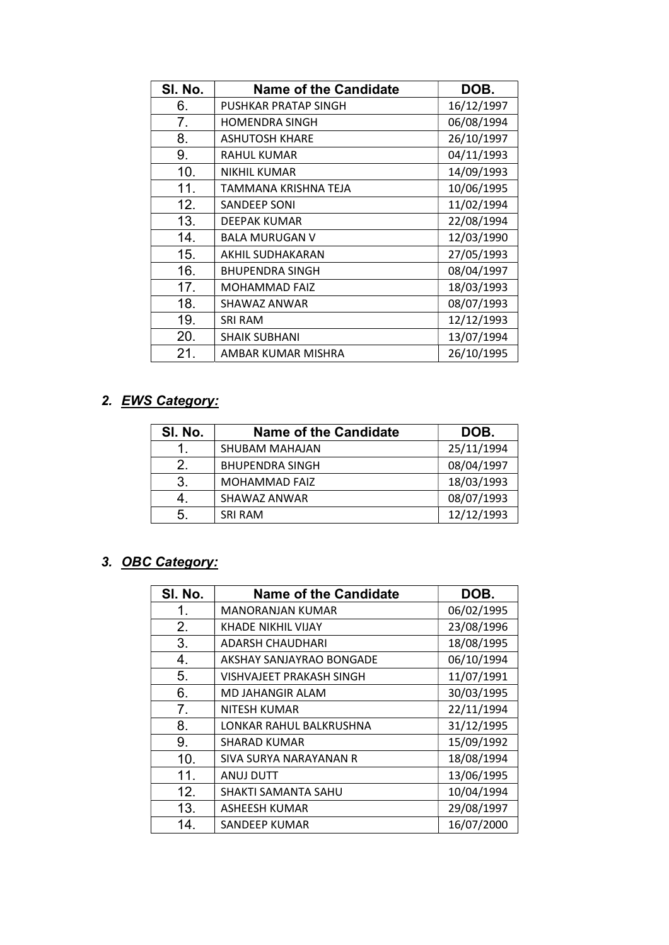| SI. No. | <b>Name of the Candidate</b> | DOB.       |
|---------|------------------------------|------------|
| 6.      | PUSHKAR PRATAP SINGH         | 16/12/1997 |
| 7.      | <b>HOMENDRA SINGH</b>        | 06/08/1994 |
| 8.      | <b>ASHUTOSH KHARE</b>        | 26/10/1997 |
| 9.      | <b>RAHUL KUMAR</b>           | 04/11/1993 |
| 10.     | <b>NIKHIL KUMAR</b>          | 14/09/1993 |
| 11.     | TAMMANA KRISHNA TEJA         | 10/06/1995 |
| 12.     | SANDEEP SONI                 | 11/02/1994 |
| 13.     | DEEPAK KUMAR                 | 22/08/1994 |
| 14.     | <b>BALA MURUGAN V</b>        | 12/03/1990 |
| 15.     | AKHIL SUDHAKARAN             | 27/05/1993 |
| 16.     | <b>BHUPENDRA SINGH</b>       | 08/04/1997 |
| 17.     | <b>MOHAMMAD FAIZ</b>         | 18/03/1993 |
| 18.     | SHAWAZ ANWAR                 | 08/07/1993 |
| 19.     | <b>SRI RAM</b>               | 12/12/1993 |
| 20.     | SHAIK SUBHANI                | 13/07/1994 |
| 21.     | AMBAR KUMAR MISHRA           | 26/10/1995 |

### 2. EWS Category:

| SI. No. | <b>Name of the Candidate</b> | DOB.       |
|---------|------------------------------|------------|
|         | SHUBAM MAHAJAN               | 25/11/1994 |
| 2.      | <b>BHUPENDRA SINGH</b>       | 08/04/1997 |
| 3.      | <b>MOHAMMAD FAIZ</b>         | 18/03/1993 |
|         | SHAWAZ ANWAR                 | 08/07/1993 |
| 5.      | <b>SRI RAM</b>               | 12/12/1993 |

# 3. OBC Category:

| SI. No. | <b>Name of the Candidate</b> | DOB.       |
|---------|------------------------------|------------|
| 1.      | <b>MANORANJAN KUMAR</b>      | 06/02/1995 |
| 2.      | KHADE NIKHIL VIJAY           | 23/08/1996 |
| 3.      | <b>ADARSH CHAUDHARI</b>      | 18/08/1995 |
| 4.      | AKSHAY SANJAYRAO BONGADE     | 06/10/1994 |
| 5.      | VISHVAJEET PRAKASH SINGH     | 11/07/1991 |
| 6.      | MD JAHANGIR ALAM             | 30/03/1995 |
| 7.      | NITESH KUMAR                 | 22/11/1994 |
| 8.      | LONKAR RAHUL BALKRUSHNA      | 31/12/1995 |
| 9.      | <b>SHARAD KUMAR</b>          | 15/09/1992 |
| 10.     | SIVA SURYA NARAYANAN R       | 18/08/1994 |
| 11.     | ANUJ DUTT                    | 13/06/1995 |
| 12.     | SHAKTI SAMANTA SAHU          | 10/04/1994 |
| 13.     | <b>ASHEESH KUMAR</b>         | 29/08/1997 |
| 14.     | SANDEEP KUMAR                | 16/07/2000 |